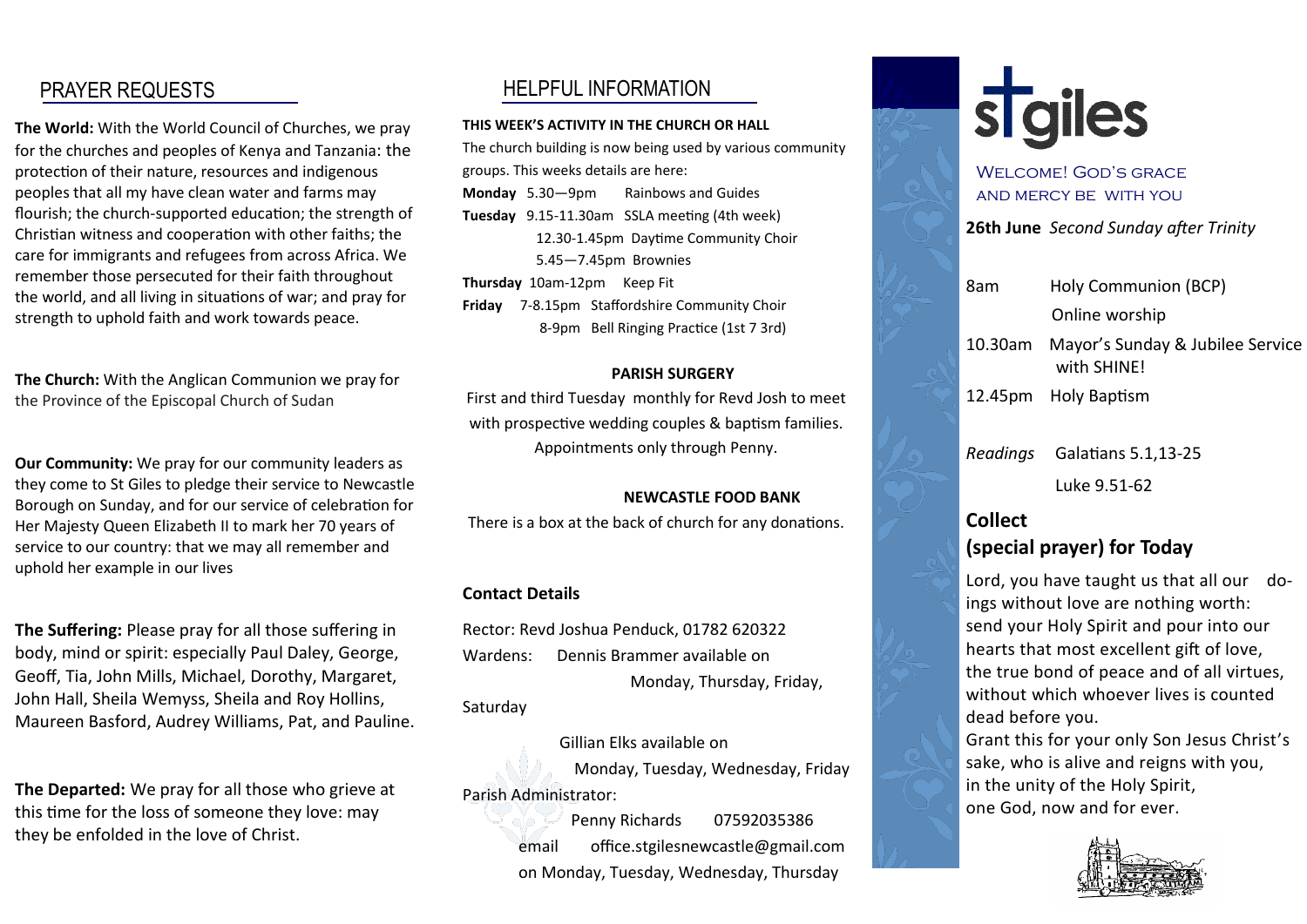# PRAYER REQUESTS

**The World:** With the World Council of Churches, we pray for the churches and peoples of Kenya and Tanzania: the protection of their nature, resources and indigenous peoples that all my have clean water and farms may flourish; the church-supported education; the strength of Christian witness and cooperation with other faiths; the care for immigrants and refugees from across Africa. We remember those persecuted for their faith throughout the world, and all living in situations of war; and pray for strength to uphold faith and work towards peace.

**The Church:** With the Anglican Communion we pray for the Province of the Episcopal Church of Sudan

**Our Community:** We pray for our community leaders as they come to St Giles to pledge their service to Newcastle Borough on Sunday, and for our service of celebration for Her Majesty Queen Elizabeth II to mark her 70 years of service to our country: that we may all remember and uphold her example in our lives

**The Suffering:** Please pray for all those suffering in body, mind or spirit: especially Paul Daley, George, Geoff, Tia, John Mills, Michael, Dorothy, Margaret, John Hall, Sheila Wemyss, Sheila and Roy Hollins, Maureen Basford, Audrey Williams, Pat, and Pauline.

**The Departed:** We pray for all those who grieve at this time for the loss of someone they love: may they be enfolded in the love of Christ.

# HELPFUL INFORMATION

#### **THIS WEEK'S ACTIVITY IN THE CHURCH OR HALL**

The church building is now being used by various community groups. This weeks details are here: **Monday** 5.30—9pm Rainbows and Guides **Tuesday** 9.15-11.30am SSLA meeting (4th week) 12.30-1.45pm Daytime Community Choir 5.45—7.45pm Brownies **Thursday** 10am-12pm Keep Fit **Friday** 7-8.15pm Staffordshire Community Choir 8-9pm Bell Ringing Practice (1st 7 3rd)

#### **PARISH SURGERY**

First and third Tuesday monthly for Revd Josh to meet with prospective wedding couples & baptism families. Appointments only through Penny.

#### **NEWCASTLE FOOD BANK**

There is a box at the back of church for any donations.

#### **Contact Details**

Rector: Revd Joshua Penduck, 01782 620322 Wardens: Dennis Brammer available on Monday, Thursday, Friday,

Saturday

 Gillian Elks available on Monday, Tuesday, Wednesday, Friday Parish Administrator:

> Penny Richards 07592035386 email office.stgilesnewcastle@gmail.com on Monday, Tuesday, Wednesday, Thursday



# WELCOME! GOD'S GRACE and mercy be with you

**26th June** *Second Sunday after Trinity*

| 8am     | Holy Communion (BCP)                            |
|---------|-------------------------------------------------|
|         | Online worship                                  |
| 10.30am | Mayor's Sunday & Jubilee Service<br>with SHINE! |
|         | 12.45pm Holy Baptism                            |
|         | Readings Galatians 5.1,13-25                    |
|         | Luke 9.51-62                                    |

# **Collect (special prayer) for Today**

Lord, you have taught us that all our doings without love are nothing worth: send your Holy Spirit and pour into our hearts that most excellent gift of love, the true bond of peace and of all virtues, without which whoever lives is counted dead before you.

Grant this for your only Son Jesus Christ's sake, who is alive and reigns with you, in the unity of the Holy Spirit, one God, now and for ever.